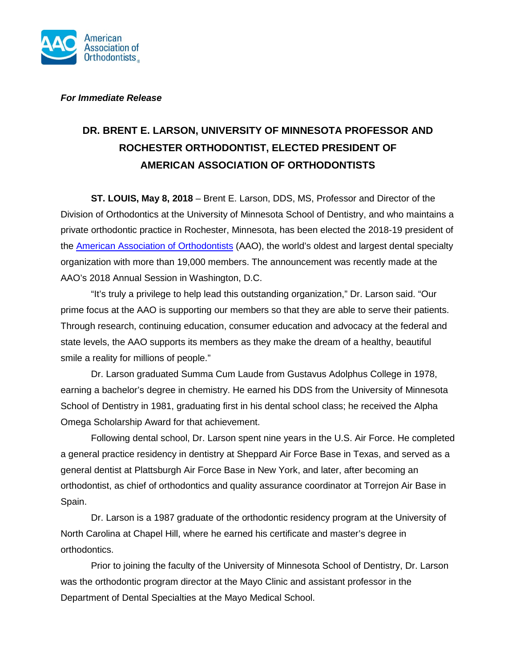

## *For Immediate Release*

## **DR. BRENT E. LARSON, UNIVERSITY OF MINNESOTA PROFESSOR AND ROCHESTER ORTHODONTIST, ELECTED PRESIDENT OF AMERICAN ASSOCIATION OF ORTHODONTISTS**

**ST. LOUIS, May 8, 2018** – Brent E. Larson, DDS, MS, Professor and Director of the Division of Orthodontics at the University of Minnesota School of Dentistry, and who maintains a private orthodontic practice in Rochester, Minnesota, has been elected the 2018-19 president of the [American Association of Orthodontists](https://www.aaoinfo.org/) (AAO), the world's oldest and largest dental specialty organization with more than 19,000 members. The announcement was recently made at the AAO's 2018 Annual Session in Washington, D.C.

"It's truly a privilege to help lead this outstanding organization," Dr. Larson said. "Our prime focus at the AAO is supporting our members so that they are able to serve their patients. Through research, continuing education, consumer education and advocacy at the federal and state levels, the AAO supports its members as they make the dream of a healthy, beautiful smile a reality for millions of people."

Dr. Larson graduated Summa Cum Laude from Gustavus Adolphus College in 1978, earning a bachelor's degree in chemistry. He earned his DDS from the University of Minnesota School of Dentistry in 1981, graduating first in his dental school class; he received the Alpha Omega Scholarship Award for that achievement.

Following dental school, Dr. Larson spent nine years in the U.S. Air Force. He completed a general practice residency in dentistry at Sheppard Air Force Base in Texas, and served as a general dentist at Plattsburgh Air Force Base in New York, and later, after becoming an orthodontist, as chief of orthodontics and quality assurance coordinator at Torrejon Air Base in Spain.

Dr. Larson is a 1987 graduate of the orthodontic residency program at the University of North Carolina at Chapel Hill, where he earned his certificate and master's degree in orthodontics.

Prior to joining the faculty of the University of Minnesota School of Dentistry, Dr. Larson was the orthodontic program director at the Mayo Clinic and assistant professor in the Department of Dental Specialties at the Mayo Medical School.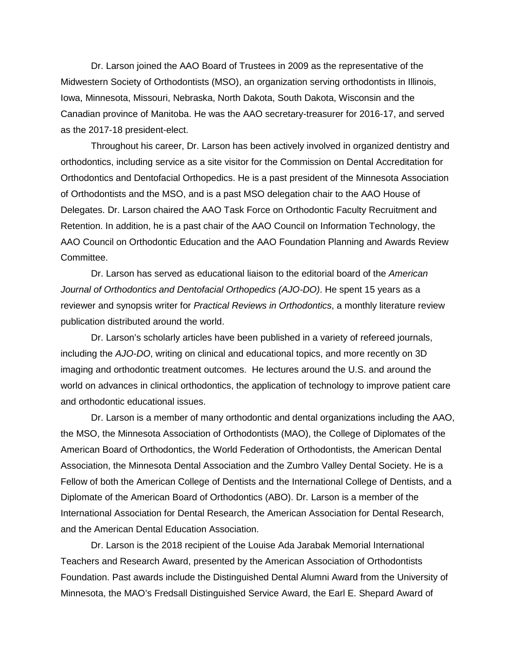Dr. Larson joined the AAO Board of Trustees in 2009 as the representative of the Midwestern Society of Orthodontists (MSO), an organization serving orthodontists in Illinois, Iowa, Minnesota, Missouri, Nebraska, North Dakota, South Dakota, Wisconsin and the Canadian province of Manitoba. He was the AAO secretary-treasurer for 2016-17, and served as the 2017-18 president-elect.

Throughout his career, Dr. Larson has been actively involved in organized dentistry and orthodontics, including service as a site visitor for the Commission on Dental Accreditation for Orthodontics and Dentofacial Orthopedics. He is a past president of the Minnesota Association of Orthodontists and the MSO, and is a past MSO delegation chair to the AAO House of Delegates. Dr. Larson chaired the AAO Task Force on Orthodontic Faculty Recruitment and Retention. In addition, he is a past chair of the AAO Council on Information Technology, the AAO Council on Orthodontic Education and the AAO Foundation Planning and Awards Review Committee.

Dr. Larson has served as educational liaison to the editorial board of the *American Journal of Orthodontics and Dentofacial Orthopedics (AJO-DO)*. He spent 15 years as a reviewer and synopsis writer for *Practical Reviews in Orthodontics*, a monthly literature review publication distributed around the world.

Dr. Larson's scholarly articles have been published in a variety of refereed journals, including the *AJO-DO*, writing on clinical and educational topics, and more recently on 3D imaging and orthodontic treatment outcomes. He lectures around the U.S. and around the world on advances in clinical orthodontics, the application of technology to improve patient care and orthodontic educational issues.

Dr. Larson is a member of many orthodontic and dental organizations including the AAO, the MSO, the Minnesota Association of Orthodontists (MAO), the College of Diplomates of the American Board of Orthodontics, the World Federation of Orthodontists, the American Dental Association, the Minnesota Dental Association and the Zumbro Valley Dental Society. He is a Fellow of both the American College of Dentists and the International College of Dentists, and a Diplomate of the American Board of Orthodontics (ABO). Dr. Larson is a member of the International Association for Dental Research, the American Association for Dental Research, and the American Dental Education Association.

Dr. Larson is the 2018 recipient of the Louise Ada Jarabak Memorial International Teachers and Research Award, presented by the American Association of Orthodontists Foundation. Past awards include the Distinguished Dental Alumni Award from the University of Minnesota, the MAO's Fredsall Distinguished Service Award, the Earl E. Shepard Award of